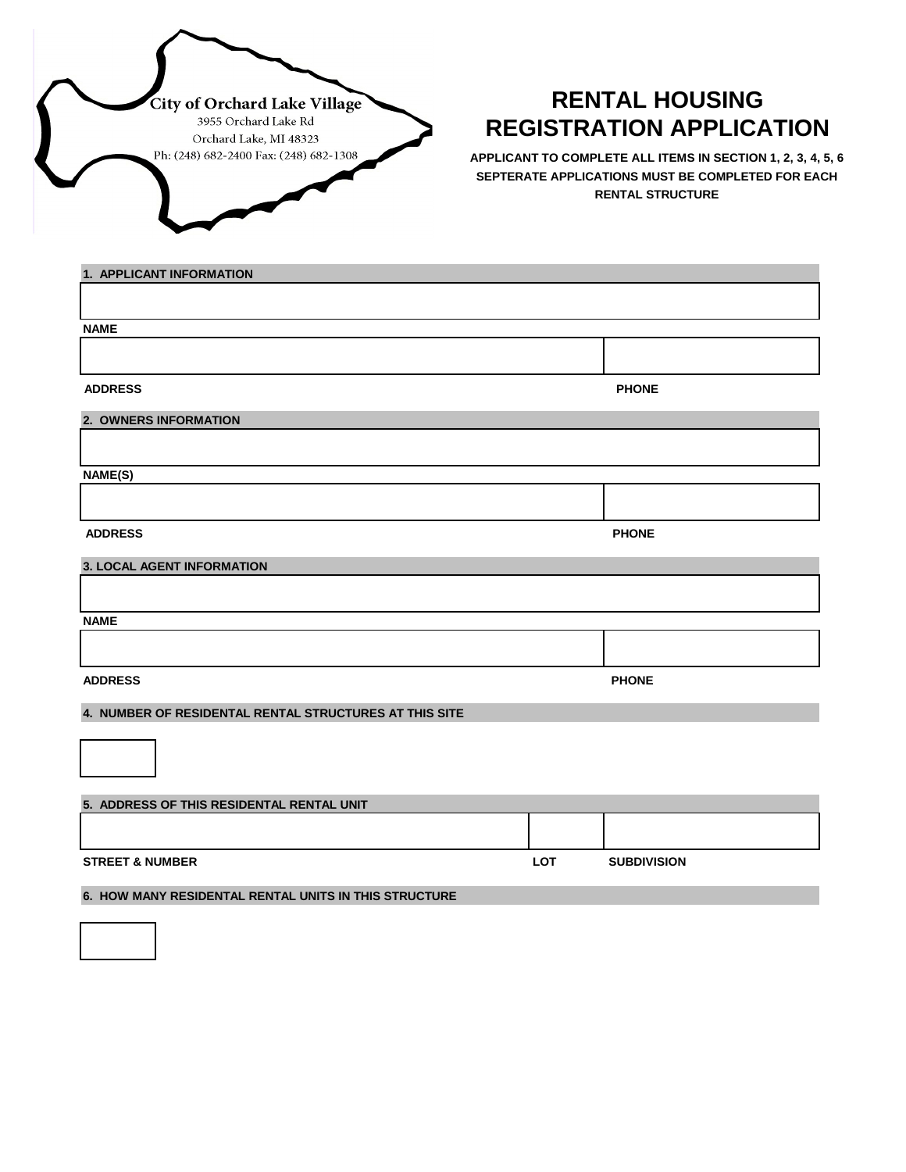

## **RENTAL HOUSING REGISTRATION APPLICATION**

**APPLICANT TO COMPLETE ALL ITEMS IN SECTION 1, 2, 3, 4, 5, 6 SEPTERATE APPLICATIONS MUST BE COMPLETED FOR EACH RENTAL STRUCTURE**

| 1. APPLICANT INFORMATION                               |            |                    |
|--------------------------------------------------------|------------|--------------------|
|                                                        |            |                    |
|                                                        |            |                    |
| <b>NAME</b>                                            |            |                    |
|                                                        |            |                    |
| <b>ADDRESS</b>                                         |            | <b>PHONE</b>       |
|                                                        |            |                    |
| 2. OWNERS INFORMATION                                  |            |                    |
|                                                        |            |                    |
| NAME(S)                                                |            |                    |
|                                                        |            |                    |
| <b>ADDRESS</b>                                         |            | <b>PHONE</b>       |
| <b>3. LOCAL AGENT INFORMATION</b>                      |            |                    |
|                                                        |            |                    |
| <b>NAME</b>                                            |            |                    |
|                                                        |            |                    |
| <b>ADDRESS</b>                                         |            | <b>PHONE</b>       |
| 4. NUMBER OF RESIDENTAL RENTAL STRUCTURES AT THIS SITE |            |                    |
|                                                        |            |                    |
| 5. ADDRESS OF THIS RESIDENTAL RENTAL UNIT              |            |                    |
|                                                        |            |                    |
| <b>STREET &amp; NUMBER</b>                             | <b>LOT</b> | <b>SUBDIVISION</b> |
| 6. HOW MANY RESIDENTAL RENTAL UNITS IN THIS STRUCTURE  |            |                    |